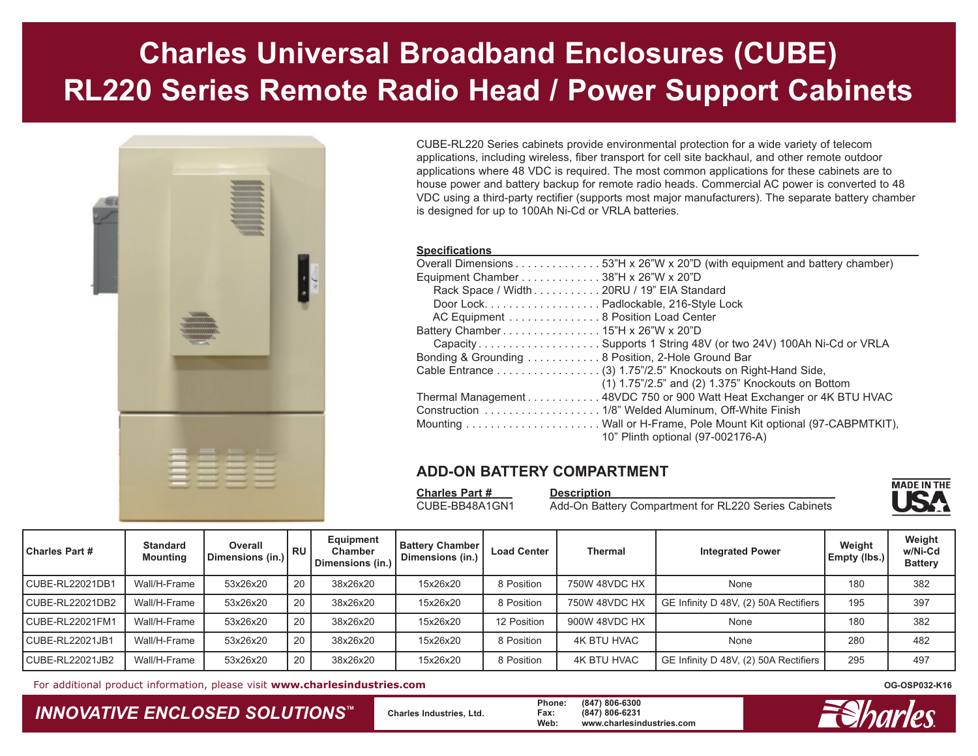# **Charles Universal Broadband Enclosures (CUBE) RL220 Series Remote Radio Head / Power Support Cabinets**



CUBE-RL220 Series cabinets provide environmental protection for a wide variety of telecom applications, including wireless, fiber transport for cell site backhaul, and other remote outdoor applications where 48 VDC is required. The most common applications for these cabinets are to house power and battery backup for remote radio heads. Commercial AC power is converted to 48 VDC using a third-party rectifier (supports most major manufacturers). The separate battery chamber is designed for up to 100Ah Ni-Cd or VRLA batteries.

#### **Specifications**

| <b>UNGUIILUALIVIIJ</b>                                                     |
|----------------------------------------------------------------------------|
| Overall Dimensions 53"H x 26"W x 20"D (with equipment and battery chamber) |
| Equipment Chamber 38"H x 26"W x 20"D                                       |
| Rack Space / Width 20RU / 19" EIA Standard                                 |
| Door Lock. Padlockable, 216-Style Lock                                     |
| AC Equipment 8 Position Load Center                                        |
|                                                                            |
| CapacitySupports 1 String 48V (or two 24V) 100Ah Ni-Cd or VRLA             |
| Bonding & Grounding 8 Position, 2-Hole Ground Bar                          |
| Cable Entrance (3) 1.75"/2.5" Knockouts on Right-Hand Side,                |
| $(1)$ 1.75"/2.5" and $(2)$ 1.375" Knockouts on Bottom                      |
| Thermal Management 48VDC 750 or 900 Watt Heat Exchanger or 4K BTU HVAC     |
|                                                                            |
|                                                                            |
| 10" Plinth optional (97-002176-A)                                          |
|                                                                            |

#### **ADD-ON BATTERY COMPARTMENT**

**Charles Part # Description** 

CUBE-BB48A1GN1 Add-On Battery Compartment for RL220 Series Cabinets



| <b>Charles Part #</b> | <b>Standard</b><br><b>Mounting</b> | Overall<br>Dimensions (in.) | RU | Equipment<br>Chamber<br>Dimensions (in.) | <b>Battery Chamber</b><br>Dimensions (in.) | <b>Load Center</b> | <b>Thermal</b>     | <b>Integrated Power</b>               | Weight<br>Empty (lbs.) | Weight<br>w/Ni-Cd<br><b>Battery</b> |
|-----------------------|------------------------------------|-----------------------------|----|------------------------------------------|--------------------------------------------|--------------------|--------------------|---------------------------------------|------------------------|-------------------------------------|
| CUBE-RL22021DB1       | Wall/H-Frame                       | 53x26x20                    | 20 | 38x26x20                                 | 15x26x20                                   | 8 Position         | 750W 48VDC HX      | None                                  | 180                    | 382                                 |
| CUBE-RL22021DB2       | Wall/H-Frame                       | 53x26x20                    | 20 | 38x26x20                                 | 15x26x20                                   | 8 Position         | 750W 48VDC HX      | GE Infinity D 48V, (2) 50A Rectifiers | 195                    | 397                                 |
| CUBE-RL22021FM1       | Wall/H-Frame                       | 53x26x20                    | 20 | 38x26x20                                 | 15x26x20                                   | 12 Position        | 900W 48VDC HX      | None                                  | 180                    | 382                                 |
| CUBE-RL22021JB1       | Wall/H-Frame                       | 53x26x20                    | 20 | 38x26x20                                 | 15x26x20                                   | 8 Position         | <b>4K BTU HVAC</b> | None                                  | 280                    | 482                                 |
| CUBE-RL22021JB2       | Wall/H-Frame                       | 53x26x20                    | 20 | 38x26x20                                 | 15x26x20                                   | 8 Position         | <b>4K BTU HVAC</b> | GE Infinity D 48V, (2) 50A Rectifiers | 295                    | 497                                 |

For additional product information, please visit **www.charlesindustries.com**

### *INNOVATIVE ENCLOSED SOLUTIONS ™*

 **Charles Industries, Ltd. Phone: (847) 806-6300 Fax: (847) 806-6231 Web: www.charlesindustries.com**